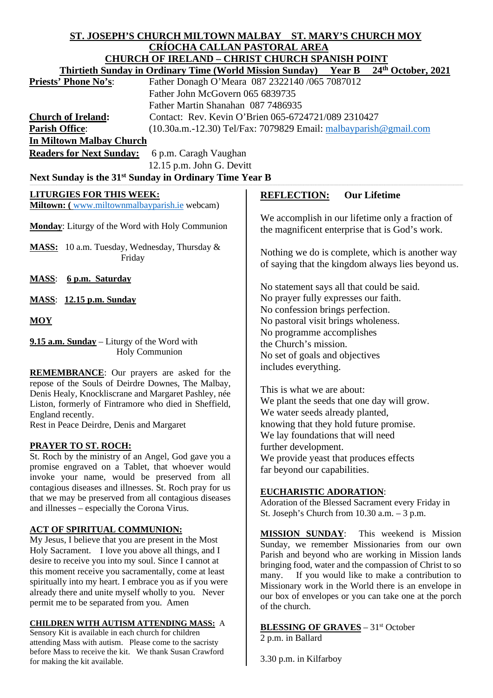# **ST. JOSEPH'S CHURCH MILTOWN MALBAY ST. MARY'S CHURCH MOY CRÍOCHA CALLAN PASTORAL AREA**

|                                                                                                 | CNIOCHA CALLAN I ABI ONAL ANLA                                  | <u>CHURCH OF IRELAND – CHRIST CHURCH SPANISH POINT</u>                                               |
|-------------------------------------------------------------------------------------------------|-----------------------------------------------------------------|------------------------------------------------------------------------------------------------------|
|                                                                                                 | <b>Thirtieth Sunday in Ordinary Time (World Mission Sunday)</b> | 24th October, 2021<br><b>Year B</b>                                                                  |
| <b>Priests' Phone No's:</b>                                                                     |                                                                 | Father Donagh O'Meara 087 2322140 /065 7087012                                                       |
|                                                                                                 | Father John McGovern 065 6839735                                |                                                                                                      |
|                                                                                                 | Father Martin Shanahan 087 7486935                              |                                                                                                      |
| <b>Church of Ireland:</b>                                                                       |                                                                 | Contact: Rev. Kevin O'Brien 065-6724721/089 2310427                                                  |
| <b>Parish Office:</b>                                                                           |                                                                 | $(10.30a.m.-12.30)$ Tel/Fax: 7079829 Email: $malbayparish@gmail.com$                                 |
| <b>In Miltown Malbay Church</b>                                                                 |                                                                 |                                                                                                      |
| <b>Readers for Next Sunday:</b>                                                                 | 6 p.m. Caragh Vaughan                                           |                                                                                                      |
|                                                                                                 | 12.15 p.m. John G. Devitt                                       |                                                                                                      |
| Next Sunday is the 31 <sup>st</sup> Sunday in Ordinary Time Year B                              |                                                                 |                                                                                                      |
| <b>LITURGIES FOR THIS WEEK:</b>                                                                 |                                                                 | <b>Our Lifetime</b><br><b>REFLECTION:</b>                                                            |
| Miltown: (www.miltownmalbayparish.ie webcam)                                                    |                                                                 |                                                                                                      |
| Monday: Liturgy of the Word with Holy Communion                                                 |                                                                 | We accomplish in our lifetime only a fraction of<br>the magnificent enterprise that is God's work.   |
| MASS: 10 a.m. Tuesday, Wednesday, Thursday &<br>Friday                                          |                                                                 | Nothing we do is complete, which is another way<br>of saying that the kingdom always lies beyond us. |
| <b>MASS:</b><br>6 p.m. Saturday                                                                 |                                                                 |                                                                                                      |
|                                                                                                 |                                                                 | No statement says all that could be said.                                                            |
| <b>MASS:</b> 12.15 p.m. Sunday                                                                  |                                                                 | No prayer fully expresses our faith.                                                                 |
|                                                                                                 |                                                                 | No confession brings perfection.                                                                     |
| MOY                                                                                             |                                                                 | No pastoral visit brings wholeness.                                                                  |
| 9.15 a.m. Sunday – Liturgy of the Word with<br>Holy Communion                                   |                                                                 | No programme accomplishes                                                                            |
|                                                                                                 |                                                                 | the Church's mission.                                                                                |
|                                                                                                 |                                                                 | No set of goals and objectives                                                                       |
| <b>REMEMBRANCE:</b> Our prayers are asked for the                                               |                                                                 | includes everything.                                                                                 |
| repose of the Souls of Deirdre Downes, The Malbay,                                              |                                                                 |                                                                                                      |
| Denis Healy, Knockliscrane and Margaret Pashley, née                                            |                                                                 | This is what we are about:                                                                           |
| Liston, formerly of Fintramore who died in Sheffield,                                           |                                                                 | We plant the seeds that one day will grow.<br>We water seeds already planted,                        |
| England recently.<br>Rest in Peace Deirdre, Denis and Margaret                                  |                                                                 | knowing that they hold future promise.                                                               |
|                                                                                                 |                                                                 | We lay foundations that will need                                                                    |
| <b>PRAYER TO ST. ROCH:</b>                                                                      |                                                                 | further development.                                                                                 |
| St. Roch by the ministry of an Angel, God gave you a                                            |                                                                 | We provide yeast that produces effects                                                               |
| promise engraved on a Tablet, that whoever would                                                |                                                                 | far beyond our capabilities.                                                                         |
| invoke your name, would be preserved from all                                                   |                                                                 |                                                                                                      |
| contagious diseases and illnesses. St. Roch pray for us                                         |                                                                 | <b>EUCHARISTIC ADORATION:</b>                                                                        |
| that we may be preserved from all contagious diseases                                           |                                                                 | Adoration of the Blessed Sacrament every Friday in                                                   |
| and illnesses – especially the Corona Virus.                                                    |                                                                 | St. Joseph's Church from $10.30$ a.m. $-3$ p.m.                                                      |
| <b>ACT OF SPIRITUAL COMMUNION:</b>                                                              |                                                                 |                                                                                                      |
| My Jesus, I believe that you are present in the Most                                            |                                                                 | <b>MISSION SUNDAY:</b><br>This weekend is Mission                                                    |
| Holy Sacrament. I love you above all things, and I                                              |                                                                 | Sunday, we remember Missionaries from our own<br>Parish and beyond who are working in Mission lands  |
| desire to receive you into my soul. Since I cannot at                                           |                                                                 | bringing food, water and the compassion of Christ to so                                              |
| this moment receive you sacramentally, come at least                                            |                                                                 | If you would like to make a contribution to<br>many.                                                 |
| spiritually into my heart. I embrace you as if you were                                         |                                                                 | Missionary work in the World there is an envelope in                                                 |
| already there and unite myself wholly to you. Never<br>permit me to be separated from you. Amen |                                                                 | our box of envelopes or you can take one at the porch                                                |
|                                                                                                 |                                                                 | of the church.                                                                                       |
| <b>CHILDREN WITH AUTISM ATTENDING MASS: A</b>                                                   |                                                                 | <b>BLESSING OF GRAVES</b> - 31 <sup>st</sup> October                                                 |
| Sensory Kit is available in each church for children                                            |                                                                 |                                                                                                      |

Sensory Kit is available in each church for children attending Mass with autism. Please come to the sacristy before Mass to receive the kit. We thank Susan Crawford for making the kit available.

3.30 p.m. in Kilfarboy

2 p.m. in Ballard